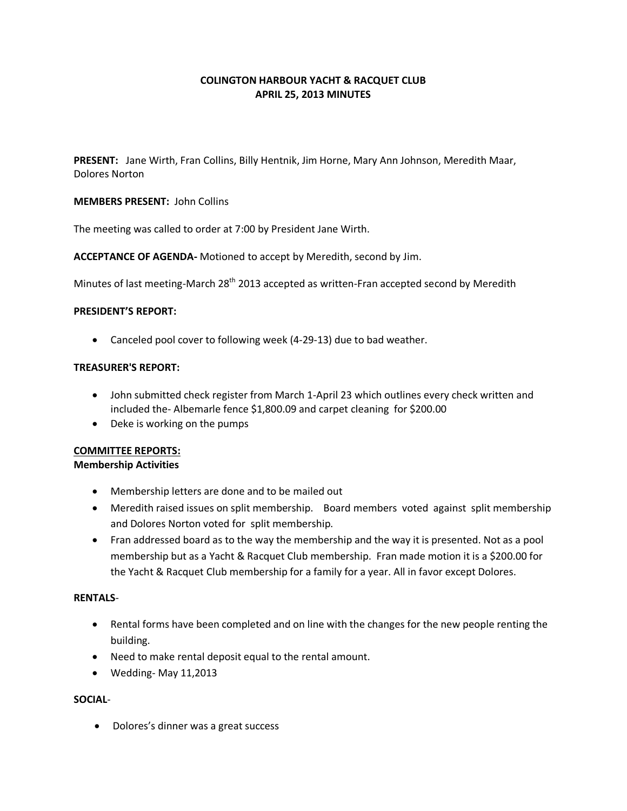# **COLINGTON HARBOUR YACHT & RACQUET CLUB APRIL 25, 2013 MINUTES**

**PRESENT:** Jane Wirth, Fran Collins, Billy Hentnik, Jim Horne, Mary Ann Johnson, Meredith Maar, Dolores Norton

## **MEMBERS PRESENT:** John Collins

The meeting was called to order at 7:00 by President Jane Wirth.

**ACCEPTANCE OF AGENDA-** Motioned to accept by Meredith, second by Jim.

Minutes of last meeting-March 28<sup>th</sup> 2013 accepted as written-Fran accepted second by Meredith

#### **PRESIDENT'S REPORT:**

Canceled pool cover to following week (4-29-13) due to bad weather.

## **TREASURER'S REPORT:**

- John submitted check register from March 1-April 23 which outlines every check written and included the- Albemarle fence \$1,800.09 and carpet cleaning for \$200.00
- Deke is working on the pumps

#### **COMMITTEE REPORTS:**

#### **Membership Activities**

- Membership letters are done and to be mailed out
- Meredith raised issues on split membership. Board members voted against split membership and Dolores Norton voted for split membership.
- Fran addressed board as to the way the membership and the way it is presented. Not as a pool membership but as a Yacht & Racquet Club membership. Fran made motion it is a \$200.00 for the Yacht & Racquet Club membership for a family for a year. All in favor except Dolores.

### **RENTALS**-

- Rental forms have been completed and on line with the changes for the new people renting the building.
- Need to make rental deposit equal to the rental amount.
- Wedding- May 11,2013

# **SOCIAL**-

• Dolores's dinner was a great success